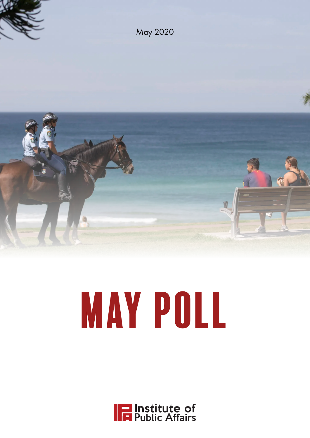

# MAY POLL

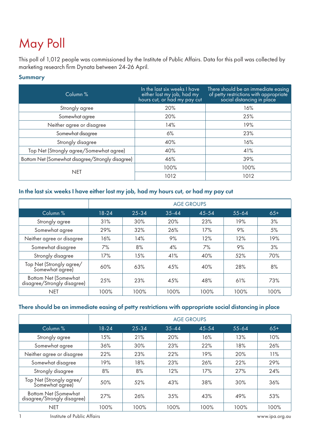# May Poll

This poll of 1,012 people was commissioned by the Institute of Public Affairs. Data for this poll was collected by marketing research firm Dynata between 24-26 April.

#### Summary

| Column %                                         | In the last six weeks I have<br>either lost my job, had my<br>hours cut, or had my pay cut | There should be an immediate easing<br>of petty restrictions with appropriate<br>social distancing in place |
|--------------------------------------------------|--------------------------------------------------------------------------------------------|-------------------------------------------------------------------------------------------------------------|
| Strongly agree                                   | 20%                                                                                        | 16%                                                                                                         |
| Somewhat agree                                   | 20%                                                                                        | 25%                                                                                                         |
| Neither agree or disagree                        | 14%                                                                                        | 19%                                                                                                         |
| Somewhat disagree                                | 6%                                                                                         | 23%                                                                                                         |
| Strongly disagree                                | 40%                                                                                        | 16%                                                                                                         |
| Top Net (Strongly agree/Somewhat agree)          | 40%                                                                                        | 41%                                                                                                         |
| Bottom Net (Somewhat disagree/Strongly disagree) | 46%                                                                                        | 39%                                                                                                         |
| <b>NET</b>                                       | 100%                                                                                       | 100%                                                                                                        |
|                                                  | 1012                                                                                       | 1012                                                                                                        |

### In the last six weeks I have either lost my job, had my hours cut, or had my pay cut

|                                                            |       | <b>AGE GROUPS</b> |           |           |           |       |  |  |
|------------------------------------------------------------|-------|-------------------|-----------|-----------|-----------|-------|--|--|
| Column %                                                   | 18-24 | 25-34             | $35 - 44$ | $45 - 54$ | $55 - 64$ | $65+$ |  |  |
| Strongly agree                                             | 31%   | 30%               | 20%       | 23%       | 19%       | 3%    |  |  |
| Somewhat agree                                             | 29%   | 32%               | 26%       | 17%       | 9%        | 5%    |  |  |
| Neither agree or disagree                                  | 16%   | 14%               | 9%        | 12%       | 12%       | 19%   |  |  |
| Somewhat disagree                                          | 7%    | 8%                | 4%        | 7%        | 9%        | 3%    |  |  |
| Strongly disagree                                          | 17%   | 15%               | 41%       | 40%       | 52%       | 70%   |  |  |
| Top Net (Strongly agree/<br>Somewhat agree)                | 60%   | 63%               | 45%       | 40%       | 28%       | 8%    |  |  |
| <b>Bottom Net (Somewhat</b><br>disagree/Strongly disagree) | 25%   | 23%               | 45%       | 48%       | 61%       | 73%   |  |  |
| <b>NET</b>                                                 | 100%  | 100%              | 100%      | 100%      | 100%      | 100%  |  |  |

#### There should be an immediate easing of petty restrictions with appropriate social distancing in place

|                                                            | <b>AGE GROUPS</b> |           |           |       |           |       |
|------------------------------------------------------------|-------------------|-----------|-----------|-------|-----------|-------|
| Column %                                                   | 18-24             | $25 - 34$ | $35 - 44$ | 45-54 | $55 - 64$ | $65+$ |
| Strongly agree                                             | 15%               | 21%       | 20%       | 16%   | 13%       | 10%   |
| Somewhat agree                                             | 36%               | 30%       | 23%       | 22%   | 18%       | 26%   |
| Neither agree or disagree                                  | 22%               | 23%       | 22%       | 19%   | 20%       | 11%   |
| Somewhat disagree                                          | 19%               | 18%       | 23%       | 26%   | 22%       | 29%   |
| Strongly disagree                                          | 8%                | 8%        | 12%       | 17%   | 27%       | 24%   |
| Top Net (Strongly agree/<br>Somewhat agree)                | 50%               | 52%       | 43%       | 38%   | 30%       | 36%   |
| <b>Bottom Net (Somewhat</b><br>disagree/Strongly disagree) | 27%               | 26%       | 3.5%      | 43%   | 49%       | 53%   |
| <b>NET</b>                                                 | 100%              | 100%      | 100%      | 100%  | 100%      | 100%  |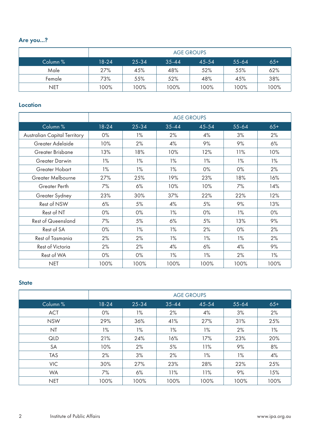# Are you...?

|            | <b>AGE GROUPS</b> |       |           |       |         |       |
|------------|-------------------|-------|-----------|-------|---------|-------|
| Column %   | $18 - 24$         | 25-34 | $35 - 44$ | 45-54 | $55-64$ | $65+$ |
| Male       | 27%               | 45%   | 48%       | 52%   | 55%     | 62%   |
| Female     | 73%               | 55%   | 52%       | 48%   | 45%     | 38%   |
| <b>NET</b> | 100%              | 100%  | 100%      | 100%  | 100%    | 100%  |

#### **Location**

|                                     |       | <b>AGE GROUPS</b> |           |       |       |       |  |
|-------------------------------------|-------|-------------------|-----------|-------|-------|-------|--|
| Column <sup>%</sup>                 | 18-24 | 25-34             | $35 - 44$ | 45-54 | 55-64 | $65+$ |  |
| <b>Australian Capital Territory</b> | $0\%$ | 1%                | 2%        | 4%    | 3%    | 2%    |  |
| Greater Adelaide                    | 10%   | 2%                | 4%        | 9%    | 9%    | 6%    |  |
| Greater Brisbane                    | 13%   | 18%               | 10%       | 12%   | 11%   | 10%   |  |
| <b>Greater Darwin</b>               | 1%    | 1%                | 1%        | 1%    | 1%    | 1%    |  |
| Greater Hobart                      | 1%    | 1%                | 1%        | 0%    | 0%    | 2%    |  |
| Greater Melbourne                   | 27%   | 25%               | 19%       | 23%   | 18%   | 16%   |  |
| <b>Greater Perth</b>                | 7%    | 6%                | 10%       | 10%   | 7%    | 14%   |  |
| Greater Sydney                      | 23%   | 30%               | 37%       | 22%   | 22%   | 12%   |  |
| Rest of NSW                         | 6%    | 5%                | 4%        | 5%    | 9%    | 13%   |  |
| Rest of NT                          | $0\%$ | 0%                | 1%        | 0%    | $1\%$ | 0%    |  |
| <b>Rest of Queensland</b>           | 7%    | 5%                | 6%        | 5%    | 13%   | 9%    |  |
| Rest of SA                          | $0\%$ | 1%                | 1%        | 2%    | $0\%$ | 2%    |  |
| <b>Rest of Tasmania</b>             | 2%    | 2%                | $1\%$     | 1%    | 1%    | 2%    |  |
| <b>Rest of Victoria</b>             | 2%    | 2%                | 4%        | 6%    | 4%    | 9%    |  |
| Rest of WA                          | 0%    | 0%                | 1%        | 1%    | 2%    | 1%    |  |
| <b>NET</b>                          | 100%  | 100%              | 100%      | 100%  | 100%  | 100%  |  |

#### **State**

|            | <b>AGE GROUPS</b> |       |           |       |           |       |  |
|------------|-------------------|-------|-----------|-------|-----------|-------|--|
| Column %   | $18 - 24$         | 25-34 | $35 - 44$ | 45-54 | $55 - 64$ | $65+$ |  |
| <b>ACT</b> | 0%                | 1%    | 2%        | 4%    | 3%        | 2%    |  |
| <b>NSW</b> | 29%               | 36%   | 41%       | 27%   | 31%       | 25%   |  |
| <b>NT</b>  | 1%                | 1%    | $1\%$     | $1\%$ | 2%        | $1\%$ |  |
| QLD        | 21%               | 24%   | 16%       | 17%   | 23%       | 20%   |  |
| <b>SA</b>  | 10%               | 2%    | 5%        | 11%   | 9%        | 8%    |  |
| <b>TAS</b> | 2%                | 3%    | 2%        | $1\%$ | $1\%$     | 4%    |  |
| <b>VIC</b> | 30%               | 27%   | 23%       | 28%   | 22%       | 25%   |  |
| <b>WA</b>  | 7%                | 6%    | 11%       | 11%   | 9%        | 15%   |  |
| <b>NET</b> | 100%              | 100%  | 100%      | 100%  | 100%      | 100%  |  |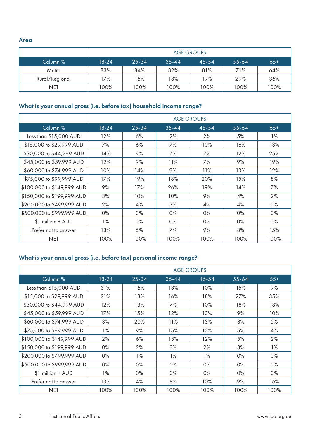Area

|                | <b>AGE GROUPS</b> |       |           |       |           |       |
|----------------|-------------------|-------|-----------|-------|-----------|-------|
| Column %       | $18 - 24$         | 25-34 | $35 - 44$ | 45-54 | $55 - 64$ | $65+$ |
| Metro          | 83%               | 84%   | 82%       | 81%   | 71%       | 64%   |
| Rural/Regional | 17%               | 16%   | 18%       | 19%   | 29%       | 36%   |
| <b>NET</b>     | 100%              | 100%  | 100%      | 100%  | 100%      | 100%  |

# What is your annual gross (i.e. before tax) household income range?

|                            | <b>AGE GROUPS</b> |           |           |            |           |       |  |
|----------------------------|-------------------|-----------|-----------|------------|-----------|-------|--|
| Column %                   | 18-24             | $25 - 34$ | $35 - 44$ | 45-54      | $55 - 64$ | $65+$ |  |
| Less than \$15,000 AUD     | 12%               | 6%        | 2%        | 2%         | 5%        | 1%    |  |
| \$15,000 to \$29,999 AUD   | 7%                | 6%        | 7%        | 10%        | 16%       | 13%   |  |
| \$30,000 to \$44,999 AUD   | 14%               | 9%        | 7%        | 7%         | 12%       | 25%   |  |
| \$45,000 to \$59,999 AUD   | 12%               | 9%        | 11%       | 7%         | 9%        | 19%   |  |
| \$60,000 to \$74,999 AUD   | 10%               | 14%       | 9%        | 11%        | 13%       | 12%   |  |
| \$75,000 to \$99,999 AUD   | 17%               | 19%       | 18%       | <b>20%</b> | 15%       | 8%    |  |
| \$100,000 to \$149,999 AUD | 9%                | 17%       | 26%       | 19%        | 14%       | 7%    |  |
| \$150,000 to \$199,999 AUD | 3%                | 10%       | 10%       | 9%         | 4%        | 2%    |  |
| \$200,000 to \$499,999 AUD | 2%                | 4%        | 3%        | 4%         | 4%        | $0\%$ |  |
| \$500,000 to \$999,999 AUD | $0\%$             | $0\%$     | 0%        | 0%         | $0\%$     | 0%    |  |
| \$1 million + AUD          | 1%                | $0\%$     | 0%        | $0\%$      | $0\%$     | $0\%$ |  |
| Prefer not to answer       | 13%               | 5%        | 7%        | 9%         | 8%        | 15%   |  |
| <b>NET</b>                 | 100%              | 100%      | 100%      | 100%       | 100%      | 100%  |  |

# What is your annual gross (i.e. before tax) personal income range?

|                            | <b>AGE GROUPS</b> |           |           |       |           |       |  |
|----------------------------|-------------------|-----------|-----------|-------|-----------|-------|--|
| Column <sup>%</sup>        | 18-24             | $25 - 34$ | $35 - 44$ | 45-54 | $55 - 64$ | $65+$ |  |
| Less than \$15,000 AUD     | 31%               | 16%       | 13%       | 10%   | 15%       | 9%    |  |
| \$15,000 to \$29,999 AUD   | 21%               | 13%       | 16%       | 18%   | 27%       | 35%   |  |
| \$30,000 to \$44,999 AUD   | 12%               | 13%       | 7%        | 10%   | 18%       | 18%   |  |
| \$45,000 to \$59,999 AUD   | 17%               | 15%       | 12%       | 13%   | 9%        | 10%   |  |
| \$60,000 to \$74,999 AUD   | 3%                | 20%       | 11%       | 13%   | 8%        | 5%    |  |
| \$75,000 to \$99,999 AUD   | $1\%$             | 9%        | 15%       | 12%   | 5%        | 4%    |  |
| \$100,000 to \$149,999 AUD | 2%                | 6%        | 13%       | 12%   | 5%        | 2%    |  |
| \$150,000 to \$199,999 AUD | $0\%$             | 2%        | 3%        | 2%    | 3%        | 1%    |  |
| \$200,000 to \$499,999 AUD | $0\%$             | 1%        | $1\%$     | 1%    | 0%        | 0%    |  |
| \$500,000 to \$999,999 AUD | $0\%$             | $0\%$     | 0%        | 0%    | 0%        | $0\%$ |  |
| $$1$ million + AUD         | $1\%$             | $0\%$     | 0%        | 0%    | $0\%$     | $0\%$ |  |
| Prefer not to answer       | 13%               | 4%        | 8%        | 10%   | 9%        | 16%   |  |
| <b>NET</b>                 | 100%              | 100%      | 100%      | 100%  | 100%      | 100%  |  |